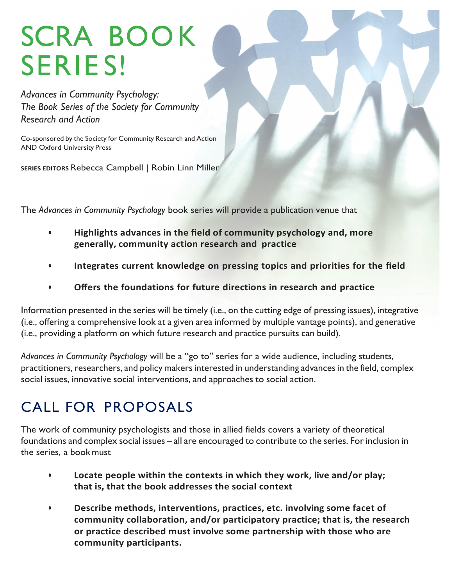# SCRA BOOK SERIE S!

*Advances in Community Psychology: The Book Series of the Society for Community Research and Action*

Co-sponsored by the Society for Community Research and Action AND Oxford University Press

**SERIES EDITORS Rebecca Campbell | Robin Linn Miller** 

The *Advances in Community Psychology* book series will provide a publication venue that

- **Highlights advances in the field of community psychology and, more generally, community action research and practice**
- **• Integrates current knowledge on pressing topics and priorities for the field**
- **• Offers the foundations for future directions in research and practice**

Information presented in the series will be timely (i.e., on the cutting edge of pressing issues), integrative (i.e., offering a comprehensive look at a given area informed by multiple vantage points), and generative (i.e., providing a platform on which future research and practice pursuits can build).

*Advances in Community Psychology* will be a "go to" series for a wide audience, including students, practitioners, researchers, and policy makers interested in understanding advances in the field, complex social issues, innovative social interventions, and approaches to social action.

## CALL FOR PROPOSALS

The work of community psychologists and those in allied fields covers a variety of theoretical foundations and complex social issues – all are encouraged to contribute to the series. For inclusion in the series, a bookmust

- Locate people within the contexts in which they work, live and/or play; **that is, that the book addresses the social context**
- **Describe methods, interventions, practices, etc. involving some facet of** community collaboration, and/or participatory practice; that is, the research or practice described must involve some partnership with those who are **community participants.**